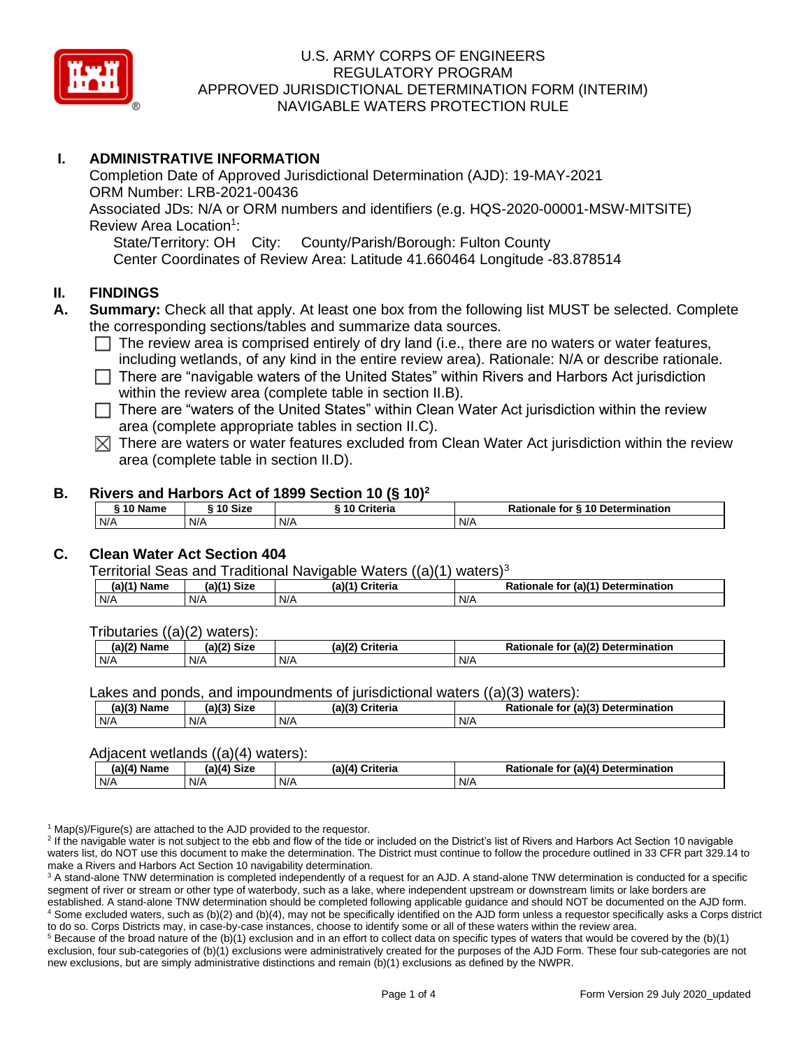

# **I. ADMINISTRATIVE INFORMATION**

Completion Date of Approved Jurisdictional Determination (AJD): 19-MAY-2021 ORM Number: LRB-2021-00436 Associated JDs: N/A or ORM numbers and identifiers (e.g. HQS-2020-00001-MSW-MITSITE) Review Area Location<sup>1</sup>: State/Territory: OH City: County/Parish/Borough: Fulton County Center Coordinates of Review Area: Latitude 41.660464 Longitude -83.878514

# **II. FINDINGS**

- **A. Summary:** Check all that apply. At least one box from the following list MUST be selected. Complete the corresponding sections/tables and summarize data sources.
	- $\Box$  The review area is comprised entirely of dry land (i.e., there are no waters or water features, including wetlands, of any kind in the entire review area). Rationale: N/A or describe rationale.
	- $\Box$  There are "navigable waters of the United States" within Rivers and Harbors Act jurisdiction within the review area (complete table in section II.B).
	- $\Box$  There are "waters of the United States" within Clean Water Act jurisdiction within the review area (complete appropriate tables in section II.C).
	- $\boxtimes$  There are waters or water features excluded from Clean Water Act jurisdiction within the review area (complete table in section II.D).

#### **B. Rivers and Harbors Act of 1899 Section 10 (§ 10)<sup>2</sup>**

| $^{\circ}$ 10 Name | ົ 10 Size | -----<br><b>Criteria</b><br>10 <sup>1</sup> | Rationale for § 10 Determination |
|--------------------|-----------|---------------------------------------------|----------------------------------|
| N/A                | N/A       | N/A                                         | N/A                              |

# **C. Clean Water Act Section 404**

Territorial Seas and Traditional Navigable Waters  $((a)(1)$  waters)<sup>3</sup>

| $(A)(1)$ <sup>V</sup><br>$\blacksquare$ . Nome<br>ame | <b>Size</b><br>$(1 - 1)$ | $(a)$ ( $\prime$<br>Criteria<br>Нά | $-1/41$<br>Dati<br>Determination<br>tor<br>la v<br>itionale |
|-------------------------------------------------------|--------------------------|------------------------------------|-------------------------------------------------------------|
| N/A                                                   | N/A                      | N/A                                | N/A                                                         |

Tributaries ((a)(2) waters):

| $\sim$ Cinema<br>っパつ<br>-1171<br>Name<br>oizu |     | ra)í"<br><b>Criteria</b> | $\mathbf{u}$ (a) $\mathbf{v}$<br>etermination<br>- -<br>Jete<br>to<br>naie |  |  |
|-----------------------------------------------|-----|--------------------------|----------------------------------------------------------------------------|--|--|
| N/A                                           | N/A | N/A                      | N/A                                                                        |  |  |

Lakes and ponds, and impoundments of jurisdictional waters ((a)(3) waters):

| (a)(3) Name | <sup>1</sup> Size<br>(a) | a)(°<br>') Criteria | $D - 4$<br>⊿ (a)(?`<br><b>Determination</b><br>Rationale<br>for |
|-------------|--------------------------|---------------------|-----------------------------------------------------------------|
| N/A         | N/A                      | N/A                 | N/A                                                             |

### Adjacent wetlands ((a)(4) waters):

| $(a)(4)$ Name | $(a)(4)$ Size | .<br>(a)(4) Criteria | Rationale for (a)(4) Determination |  |  |
|---------------|---------------|----------------------|------------------------------------|--|--|
| N/A           | N/A           | N/A                  | N/A                                |  |  |

 $1$  Map(s)/Figure(s) are attached to the AJD provided to the requestor.

<sup>2</sup> If the navigable water is not subject to the ebb and flow of the tide or included on the District's list of Rivers and Harbors Act Section 10 navigable waters list, do NOT use this document to make the determination. The District must continue to follow the procedure outlined in 33 CFR part 329.14 to make a Rivers and Harbors Act Section 10 navigability determination.

<sup>3</sup> A stand-alone TNW determination is completed independently of a request for an AJD. A stand-alone TNW determination is conducted for a specific segment of river or stream or other type of waterbody, such as a lake, where independent upstream or downstream limits or lake borders are established. A stand-alone TNW determination should be completed following applicable guidance and should NOT be documented on the AJD form. <sup>4</sup> Some excluded waters, such as (b)(2) and (b)(4), may not be specifically identified on the AJD form unless a requestor specifically asks a Corps district to do so. Corps Districts may, in case-by-case instances, choose to identify some or all of these waters within the review area.

 $5$  Because of the broad nature of the (b)(1) exclusion and in an effort to collect data on specific types of waters that would be covered by the (b)(1) exclusion, four sub-categories of (b)(1) exclusions were administratively created for the purposes of the AJD Form. These four sub-categories are not new exclusions, but are simply administrative distinctions and remain (b)(1) exclusions as defined by the NWPR.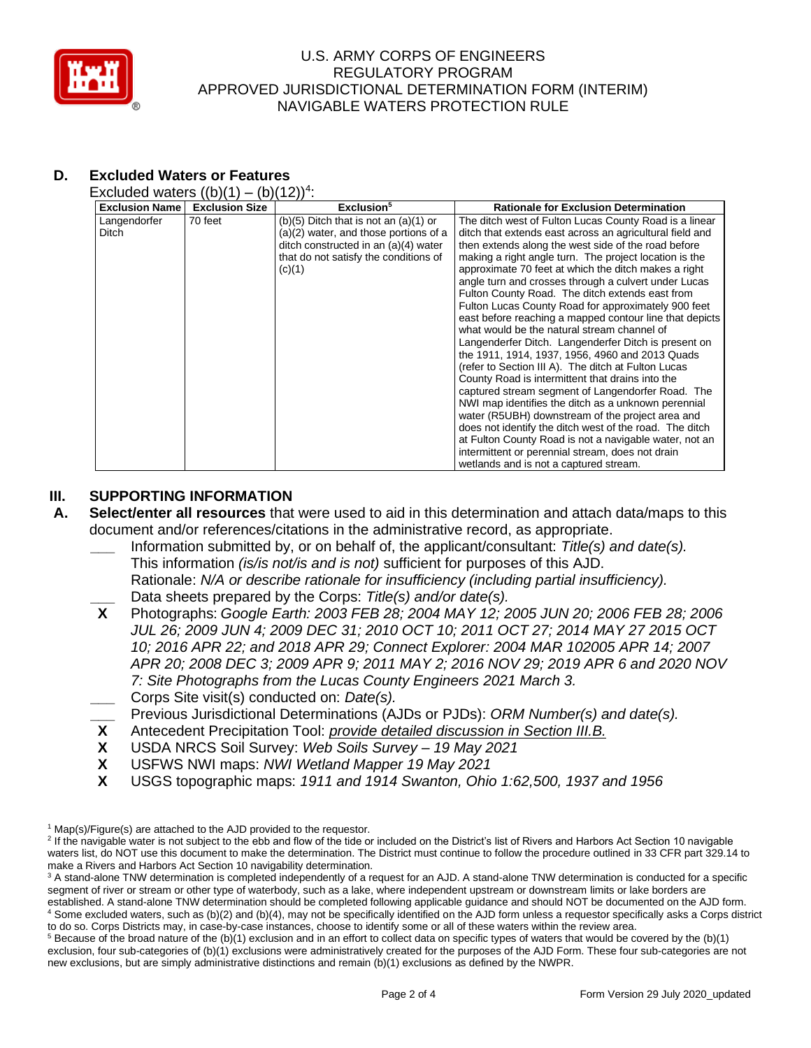

# **D. Excluded Waters or Features**

Excluded waters  $((b)(1) - (b)(12))^4$ :

| <b>Exclusion Name</b> | <b>Exclusion Size</b> | Exclusion <sup>5</sup>                  | <b>Rationale for Exclusion Determination</b>             |
|-----------------------|-----------------------|-----------------------------------------|----------------------------------------------------------|
| Langendorfer          | 70 feet               | (b)(5) Ditch that is not an $(a)(1)$ or | The ditch west of Fulton Lucas County Road is a linear   |
| Ditch                 |                       | (a)(2) water, and those portions of a   | ditch that extends east across an agricultural field and |
|                       |                       | ditch constructed in an (a)(4) water    | then extends along the west side of the road before      |
|                       |                       | that do not satisfy the conditions of   | making a right angle turn. The project location is the   |
|                       |                       | (c)(1)                                  | approximate 70 feet at which the ditch makes a right     |
|                       |                       |                                         | angle turn and crosses through a culvert under Lucas     |
|                       |                       |                                         | Fulton County Road. The ditch extends east from          |
|                       |                       |                                         | Fulton Lucas County Road for approximately 900 feet      |
|                       |                       |                                         | east before reaching a mapped contour line that depicts  |
|                       |                       |                                         | what would be the natural stream channel of              |
|                       |                       |                                         | Langenderfer Ditch. Langenderfer Ditch is present on     |
|                       |                       |                                         | the 1911, 1914, 1937, 1956, 4960 and 2013 Quads          |
|                       |                       |                                         | (refer to Section III A). The ditch at Fulton Lucas      |
|                       |                       |                                         | County Road is intermittent that drains into the         |
|                       |                       |                                         | captured stream segment of Langendorfer Road. The        |
|                       |                       |                                         | NWI map identifies the ditch as a unknown perennial      |
|                       |                       |                                         | water (R5UBH) downstream of the project area and         |
|                       |                       |                                         | does not identify the ditch west of the road. The ditch  |
|                       |                       |                                         | at Fulton County Road is not a navigable water, not an   |
|                       |                       |                                         | intermittent or perennial stream, does not drain         |
|                       |                       |                                         | wetlands and is not a captured stream.                   |

## **III. SUPPORTING INFORMATION**

- **A. Select/enter all resources** that were used to aid in this determination and attach data/maps to this document and/or references/citations in the administrative record, as appropriate.
	- **\_\_\_** Information submitted by, or on behalf of, the applicant/consultant: *Title(s) and date(s).* This information *(is/is not/is and is not)* sufficient for purposes of this AJD. Rationale: *N/A or describe rationale for insufficiency (including partial insufficiency).* **\_\_\_** Data sheets prepared by the Corps: *Title(s) and/or date(s).*
	- **X** Photographs: *Google Earth: 2003 FEB 28; 2004 MAY 12; 2005 JUN 20; 2006 FEB 28; 2006 JUL 26; 2009 JUN 4; 2009 DEC 31; 2010 OCT 10; 2011 OCT 27; 2014 MAY 27 2015 OCT 10; 2016 APR 22; and 2018 APR 29; Connect Explorer: 2004 MAR 102005 APR 14; 2007 APR 20; 2008 DEC 3; 2009 APR 9; 2011 MAY 2; 2016 NOV 29; 2019 APR 6 and 2020 NOV 7: Site Photographs from the Lucas County Engineers 2021 March 3.*
	- **\_\_\_** Corps Site visit(s) conducted on: *Date(s).*
	- **\_\_\_** Previous Jurisdictional Determinations (AJDs or PJDs): *ORM Number(s) and date(s).*
	- **X** Antecedent Precipitation Tool: *provide detailed discussion in Section III.B.*
	- **X** USDA NRCS Soil Survey: *Web Soils Survey – 19 May 2021*
	- **X** USFWS NWI maps: *NWI Wetland Mapper 19 May 2021*
	- **X** USGS topographic maps: *1911 and 1914 Swanton, Ohio 1:62,500, 1937 and 1956*

 $5$  Because of the broad nature of the (b)(1) exclusion and in an effort to collect data on specific types of waters that would be covered by the (b)(1) exclusion, four sub-categories of (b)(1) exclusions were administratively created for the purposes of the AJD Form. These four sub-categories are not new exclusions, but are simply administrative distinctions and remain (b)(1) exclusions as defined by the NWPR.

 $1$  Map(s)/Figure(s) are attached to the AJD provided to the requestor.

<sup>&</sup>lt;sup>2</sup> If the navigable water is not subject to the ebb and flow of the tide or included on the District's list of Rivers and Harbors Act Section 10 navigable waters list, do NOT use this document to make the determination. The District must continue to follow the procedure outlined in 33 CFR part 329.14 to make a Rivers and Harbors Act Section 10 navigability determination.

<sup>&</sup>lt;sup>3</sup> A stand-alone TNW determination is completed independently of a request for an AJD. A stand-alone TNW determination is conducted for a specific segment of river or stream or other type of waterbody, such as a lake, where independent upstream or downstream limits or lake borders are established. A stand-alone TNW determination should be completed following applicable guidance and should NOT be documented on the AJD form. <sup>4</sup> Some excluded waters, such as (b)(2) and (b)(4), may not be specifically identified on the AJD form unless a requestor specifically asks a Corps district to do so. Corps Districts may, in case-by-case instances, choose to identify some or all of these waters within the review area.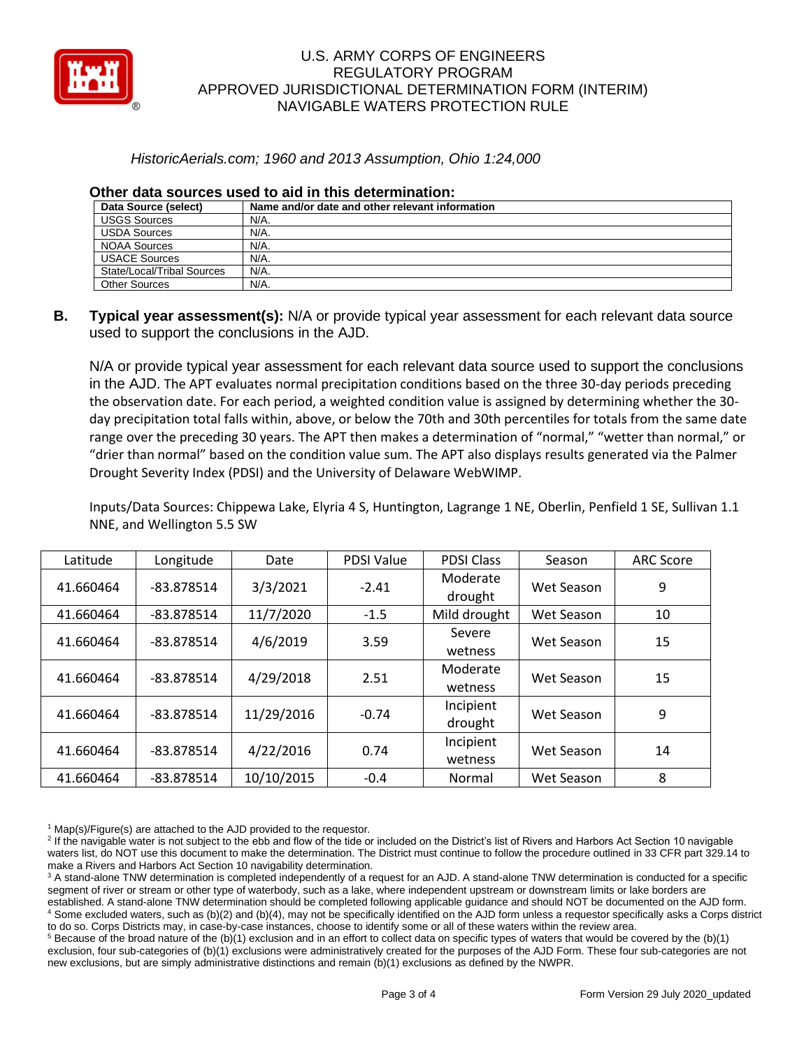

## *HistoricAerials.com; 1960 and 2013 Assumption, Ohio 1:24,000*

| Data Source (select)       | Name and/or date and other relevant information |
|----------------------------|-------------------------------------------------|
| <b>USGS Sources</b>        | N/A.                                            |
| <b>USDA Sources</b>        | N/A.                                            |
| NOAA Sources               | N/A.                                            |
| <b>USACE Sources</b>       | N/A.                                            |
| State/Local/Tribal Sources | N/A.                                            |
| <b>Other Sources</b>       | N/A.                                            |

### **Other data sources used to aid in this determination:**

**B. Typical year assessment(s):** N/A or provide typical year assessment for each relevant data source used to support the conclusions in the AJD.

N/A or provide typical year assessment for each relevant data source used to support the conclusions in the AJD. The APT evaluates normal precipitation conditions based on the three 30-day periods preceding the observation date. For each period, a weighted condition value is assigned by determining whether the 30 day precipitation total falls within, above, or below the 70th and 30th percentiles for totals from the same date range over the preceding 30 years. The APT then makes a determination of "normal," "wetter than normal," or "drier than normal" based on the condition value sum. The APT also displays results generated via the Palmer Drought Severity Index (PDSI) and the University of Delaware WebWIMP.

Inputs/Data Sources: Chippewa Lake, Elyria 4 S, Huntington, Lagrange 1 NE, Oberlin, Penfield 1 SE, Sullivan 1.1 NNE, and Wellington 5.5 SW

| Latitude  | Longitude    | Date       | <b>PDSI Value</b> | <b>PDSI Class</b>   | Season     | <b>ARC Score</b> |
|-----------|--------------|------------|-------------------|---------------------|------------|------------------|
| 41.660464 | $-83.878514$ | 3/3/2021   | $-2.41$           | Moderate<br>drought | Wet Season | 9                |
| 41.660464 | -83.878514   | 11/7/2020  | $-1.5$            | Mild drought        | Wet Season | 10               |
| 41.660464 | -83.878514   | 4/6/2019   | 3.59              | Severe              | Wet Season | 15               |
|           |              |            |                   | wetness             |            |                  |
| 41.660464 | -83.878514   | 4/29/2018  | 2.51              | Moderate            | Wet Season | 15               |
|           |              |            |                   | wetness             |            |                  |
| 41.660464 | -83.878514   | 11/29/2016 | $-0.74$           | Incipient           | Wet Season | 9                |
|           |              |            |                   | drought             |            |                  |
| 41.660464 | $-83.878514$ | 4/22/2016  | 0.74              | Incipient           | Wet Season | 14               |
|           |              |            |                   | wetness             |            |                  |
| 41.660464 | -83.878514   | 10/10/2015 | $-0.4$            | Normal              | Wet Season | 8                |

 $1$  Map(s)/Figure(s) are attached to the AJD provided to the requestor.

<sup>2</sup> If the navigable water is not subject to the ebb and flow of the tide or included on the District's list of Rivers and Harbors Act Section 10 navigable waters list, do NOT use this document to make the determination. The District must continue to follow the procedure outlined in 33 CFR part 329.14 to make a Rivers and Harbors Act Section 10 navigability determination.

<sup>3</sup> A stand-alone TNW determination is completed independently of a request for an AJD. A stand-alone TNW determination is conducted for a specific segment of river or stream or other type of waterbody, such as a lake, where independent upstream or downstream limits or lake borders are established. A stand-alone TNW determination should be completed following applicable guidance and should NOT be documented on the AJD form. <sup>4</sup> Some excluded waters, such as (b)(2) and (b)(4), may not be specifically identified on the AJD form unless a requestor specifically asks a Corps district to do so. Corps Districts may, in case-by-case instances, choose to identify some or all of these waters within the review area.

 $5$  Because of the broad nature of the (b)(1) exclusion and in an effort to collect data on specific types of waters that would be covered by the (b)(1) exclusion, four sub-categories of (b)(1) exclusions were administratively created for the purposes of the AJD Form. These four sub-categories are not new exclusions, but are simply administrative distinctions and remain (b)(1) exclusions as defined by the NWPR.